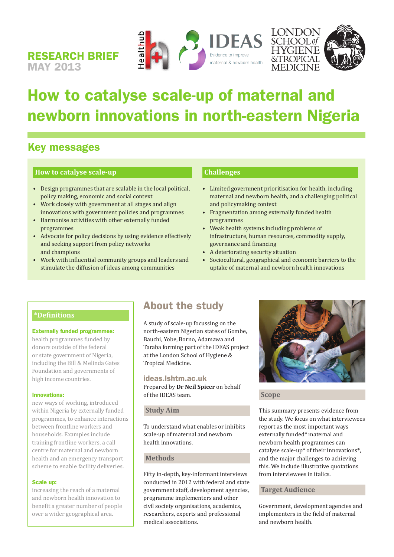





## How to catalyse scale-up of maternal and newborn innovations in north-eastern Nigeria

## Key messages

RESEARCH BRIEF

MAY 2013

#### **How to catalyse scale-up**

- • Design programmes that are scalable in the local political, policy making, economic and social context
- Work closely with government at all stages and align innovations with government policies and programmes
- • Harmonise activities with other externally funded programmes
- Advocate for policy decisions by using evidence effectively and seeking support from policy networks and champions
- Work with influential community groups and leaders and stimulate the diffusion of ideas among communities

#### **Challenges**

- • Limited government prioritisation for health, including maternal and newborn health, and a challenging political and policymaking context
- • Fragmentation among externally funded health programmes
- • Weak health systems including problems of infrastructure, human resources, commodity supply, governance and financing
- • A deteriorating security situation
- • Sociocultural, geographical and economic barriers to the uptake of maternal and newborn health innovations

#### **\*Definitions**

#### Externally funded programmes:

health programmes funded by donors outside of the federal or state government of Nigeria, including the Bill & Melinda Gates Foundation and governments of high income countries.

#### Innovations:

new ways of working, introduced within Nigeria by externally funded programmes, to enhance interactions between frontline workers and households. Examples include training frontline workers, a call centre for maternal and newborn health and an emergency transport scheme to enable facility deliveries.

#### Scale up:

increasing the reach of a maternal and newborn health innovation to benefit a greater number of people over a wider geographical area.

### About the study

A study of scale-up focussing on the north-eastern Nigerian states of Gombe, Bauchi, Yobe, Borno, Adamawa and Taraba forming part of the IDEAS project at the London School of Hygiene & Tropical Medicine.

#### ideas.lshtm.ac.uk

Prepared by **Dr Neil Spicer** on behalf of the IDEAS team.

#### **Study Aim**

To understand what enables or inhibits scale-up of maternal and newborn health innovations.

#### **Methods**

Fifty in-depth, key-informant interviews conducted in 2012 with federal and state government staff, development agencies, programme implementers and other civil society organisations, academics, researchers, experts and professional medical associations.



#### **Scope**

This summary presents evidence from the study. We focus on what interviewees report as the most important ways externally funded\* maternal and newborn health programmes can catalyse scale-up\* of their innovations\*, and the major challenges to achieving this. We include illustrative quotations from interviewees in italics.

#### **Target Audience**

Government, development agencies and implementers in the field of maternal and newborn health.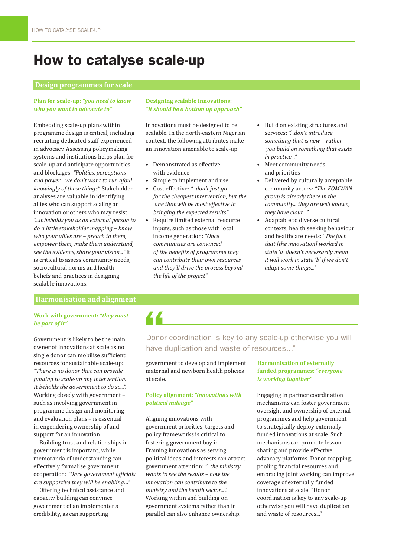## How to catalyse scale-up

#### **Design programmes for scale**

#### **Plan for scale-up:** *"you need to know who you want to advocate to"*

Embedding scale-up plans within programme design is critical, including recruiting dedicated staff experienced in advocacy. Assessing policymaking systems and institutions helps plan for scale-up and anticipate opportunities and blockages: *"Politics, perceptions and power... we don't want to run afoul knowingly of these things".* Stakeholder analyses are valuable in identifying allies who can support scaling an innovation or others who may resist: *"...it beholds you as an external person to do a little stakeholder mapping – know who your allies are – preach to them, empower them, make them understand, see the evidence, share your vision..."* It is critical to assess community needs, sociocultural norms and health beliefs and practices in designing scalable innovations.

#### **Designing scalable innovations:**  *"it should be a bottom up approach"*

Innovations must be designed to be scalable. In the north-eastern Nigerian context, the following attributes make an innovation amenable to scale-up:

- • Demonstrated as effective with evidence
- Simple to implement and use Cost effective: "...don't just go
- *for the cheapest intervention, but the one that will be most effective in bringing the expected results"*
- Require limited external resource inputs, such as those with local income generation: *"Once communities are convinced of the benefits of programme they can contribute their own resources and they'll drive the process beyond the life of the project"*
- • Build on existing structures and services: *"...don't introduce something that is new – rather you build on something that exists in practice..."*
- Meet community needs and priorities
- • Delivered by culturally acceptable community actors: *"The FOMWAN group is already there in the community... they are well known, they have clout..."*
- • Adaptable to diverse cultural contexts, health seeking behaviour and healthcare needs: *"The fact that [the innovation] worked in state 'a' doesn't necessarily mean it will work in state 'b' if we don't adapt some things...'*

#### **Harmonisation and alignment**

#### **Work with government:** *"they must be part of it"*

Government is likely to be the main owner of innovations at scale as no single donor can mobilise sufficient resources for sustainable scale-up: *"There is no donor that can provide funding to scale-up any intervention. It beholds the government to do so...".*  Working closely with government – such as involving government in programme design and monitoring and evaluation plans – is essential in engendering ownership of and support for an innovation.

Building trust and relationships in government is important, while memoranda of understanding can effectively formalise government cooperation: *"Once government officials are supportive they will be enabling…"*

Offering technical assistance and capacity building can convince government of an implementer's credibility, as can supporting

# 44

### Donor coordination is key to any scale-up otherwise you will have duplication and waste of resources..."

government to develop and implement maternal and newborn health policies at scale.

#### **Policy alignment:** *"innovations with political mileage"*

Aligning innovations with government priorities, targets and policy frameworks is critical to fostering government buy in. Framing innovations as serving political ideas and interests can attract government attention: *"...the ministry wants to see the results – how the innovation can contribute to the ministry and the health sector...".* Working within and building on government systems rather than in parallel can also enhance ownership.

#### **Harmonisation of externally funded programmes:** *"everyone is working together"*

Engaging in partner coordination mechanisms can foster government oversight and ownership of external programmes and help government to strategically deploy externally funded innovations at scale. Such mechanisms can promote lesson sharing and provide effective advocacy platforms. Donor mapping, pooling financial resources and embracing joint working can improve coverage of externally funded innovations at scale: "Donor coordination is key to any scale-up otherwise you will have duplication and waste of resources..."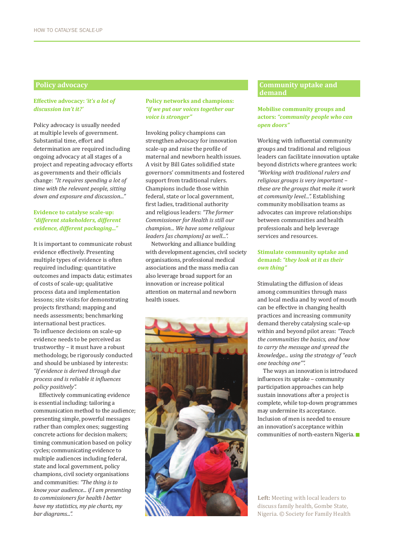#### **Effective advocacy:** *'it's a lot of discussion isn't it?'*

Policy advocacy is usually needed at multiple levels of government. Substantial time, effort and determination are required including ongoing advocacy at all stages of a project and repeating advocacy efforts as governments and their officials change: *"It requires spending a lot of time with the relevant people, sitting down and exposure and discussion..."*

#### **Evidence to catalyse scale-up:**  *"different stakeholders, different evidence, different packaging..."*

It is important to communicate robust evidence effectively. Presenting multiple types of evidence is often required including: quantitative outcomes and impacts data; estimates of costs of scale-up; qualitative process data and implementation lessons; site visits for demonstrating projects firsthand; mapping and needs assessments; benchmarking international best practices. To influence decisions on scale-up evidence needs to be perceived as trustworthy – it must have a robust methodology, be rigorously conducted and should be unbiased by interests: *"If evidence is derived through due process and is reliable it influences policy positively".*

Effectively communicating evidence is essential including: tailoring a communication method to the audience; presenting simple, powerful messages rather than complex ones; suggesting concrete actions for decision makers; timing communication based on policy cycles; communicating evidence to multiple audiences including federal, state and local government, policy champions, civil society organisations and communities: *"The thing is to know your audience... if I am presenting to commissioners for health I better have my statistics, my pie charts, my bar diagrams...".*

#### **Policy networks and champions:**  *"if we put our voices together our voice is stronger"*

Invoking policy champions can strengthen advocacy for innovation scale-up and raise the profile of maternal and newborn health issues. A visit by Bill Gates solidified state governors' commitments and fostered support from traditional rulers. Champions include those within federal, state or local government, first ladies, traditional authority and religious leaders: *"The former Commissioner for Health is still our champion... We have some religious leaders [as champions] as well...".* 

Networking and alliance building with development agencies, civil society organisations, professional medical associations and the mass media can also leverage broad support for an innovation or increase political attention on maternal and newborn health issues.



#### **Policy advocacy** Community uptake and **Policy advocacy** Community uptake and **Community** uptake and **Community** uptake and **Community** in **Community** in **Community** in **Community** in **Community** in **Community** in **Communi demand**

#### **Mobilise community groups and actors:** *"community people who can open doors"*

Working with influential community groups and traditional and religious leaders can facilitate innovation uptake beyond districts where grantees work: *"Working with traditional rulers and religious groups is very important – these are the groups that make it work at community level...".* Establishing community mobilisation teams as advocates can improve relationships between communities and health professionals and help leverage services and resources.

#### **Stimulate community uptake and demand:** *"they look at it as their own thing"*

Stimulating the diffusion of ideas among communities through mass and local media and by word of mouth can be effective in changing health practices and increasing community demand thereby catalysing scale-up within and beyond pilot areas: *"Teach the communities the basics, and how to carry the message and spread the knowledge... using the strategy of "each one teaching one"".*

The ways an innovation is introduced influences its uptake – community participation approaches can help sustain innovations after a project is complete, while top-down programmes may undermine its acceptance. Inclusion of men is needed to ensure an innovation's acceptance within communities of north-eastern Nigeria.

**Left:** Meeting with local leaders to discuss family health, Gombe State, Nigeria. © Society for Family Health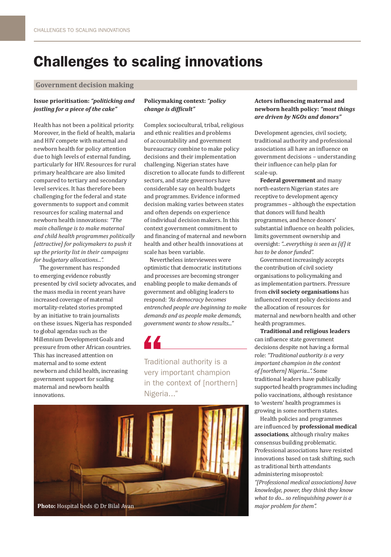## Challenges to scaling innovations

#### **Government decision making**

#### **Issue prioritisation:** *"politicking and jostling for a piece of the cake"*

Health has not been a political priority. Moreover, in the field of health, malaria and HIV compete with maternal and newborn health for policy attention due to high levels of external funding, particularly for HIV. Resources for rural primary healthcare are also limited compared to tertiary and secondary level services. It has therefore been challenging for the federal and state governments to support and commit resources for scaling maternal and newborn health innovations: *"The main challenge is to make maternal and child health programmes politically [attractive] for policymakers to push it up the priority list in their campaigns for budgetary allocations...".*

The government has responded to emerging evidence robustly presented by civil society advocates, and the mass media in recent years have increased coverage of maternal mortality-related stories prompted by an initiative to train journalists on these issues. Nigeria has responded to global agendas such as the Millennium Development Goals and pressure from other African countries. This has increased attention on maternal and to some extent newborn and child health, increasing government support for scaling maternal and newborn health innovations.

#### **Policymaking context:** *"policy change is difficult"*

Complex sociocultural, tribal, religious and ethnic realities and problems of accountability and government bureaucracy combine to make policy decisions and their implementation challenging. Nigerian states have discretion to allocate funds to different sectors, and state governors have considerable say on health budgets and programmes. Evidence informed decision making varies between states and often depends on experience of individual decision makers. In this context government commitment to and financing of maternal and newborn health and other health innovations at scale has been variable.

Nevertheless interviewees were optimistic that democratic institutions and processes are becoming stronger enabling people to make demands of government and obliging leaders to respond: *"As democracy becomes entrenched people are beginning to make demands and as people make demands, government wants to show results..."* 

Traditional authority is a very important champion in the context of [northern] Nigeria..."



#### **Actors influencing maternal and newborn health policy:** *"most things are driven by NGOs and donors"*

Development agencies, civil society, traditional authority and professional associations all have an influence on government decisions – understanding their influence can help plan for scale-up.

**Federal government** and many north-eastern Nigerian states are receptive to development agency programmes – although the expectation that donors will fund health programmes, and hence donors' substantial influence on health policies, limits government ownership and oversight: *"...everything is seen as [if] it has to be donor funded".* 

Government increasingly accepts the contribution of civil society organisations to policymaking and as implementation partners. Pressure from **civil society organisations** has influenced recent policy decisions and the allocation of resources for maternal and newborn health and other health programmes.

**Traditional and religious leaders** can influence state government decisions despite not having a formal role: *"Traditional authority is a very important champion in the context of [northern] Nigeria...".* Some traditional leaders have publically supported health programmes including polio vaccinations, although resistance to 'western' health programmes is growing in some northern states.

Health policies and programmes are influenced by **professional medical associations**, although rivalry makes consensus building problematic. Professional associations have resisted innovations based on task shifting, such as traditional birth attendants administering misoprostol: *"[Professional medical associations] have knowledge, power, they think they know what to do... so relinquishing power is a major problem for them".*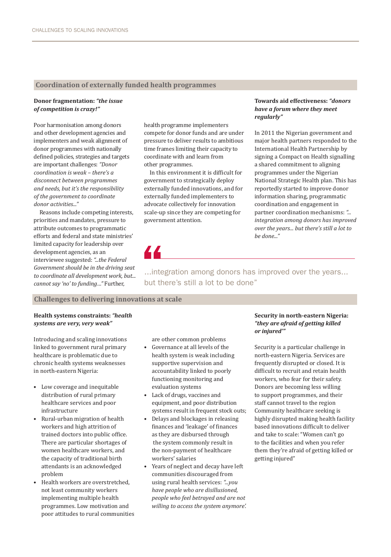#### **Coordination of externally funded health programmes**

#### **Donor fragmentation:** *"the issue of competition is crazy!"*

Poor harmonisation among donors and other development agencies and implementers and weak alignment of donor programmes with nationally defined policies, strategies and targets are important challenges: *"Donor coordination is weak – there's a disconnect between programmes and needs, but it's the responsibility of the government to coordinate donor activities..."* 

Reasons include competing interests, priorities and mandates, pressure to attribute outcomes to programmatic efforts and federal and state ministries' limited capacity for leadership over development agencies, as an interviewee suggested: *"...the Federal Government should be in the driving seat to coordinate all development work, but... cannot say 'no' to funding…"* Further,

health programme implementers compete for donor funds and are under pressure to deliver results to ambitious time frames limiting their capacity to coordinate with and learn from other programmes.

In this environment it is difficult for government to strategically deploy externally funded innovations, and for externally funded implementers to advocate collectively for innovation scale-up since they are competing for government attention.

#### **Towards aid effectiveness:** *"donors have a forum where they meet regularly"*

In 2011 the Nigerian government and major health partners responded to the International Health Partnership by signing a Compact on Health signalling a shared commitment to aligning programmes under the Nigerian National Strategic Health plan. This has reportedly started to improve donor information sharing, programmatic coordination and engagement in partner coordination mechanisms: *"... integration among donors has improved over the years... but there's still a lot to be done..."*

77

...integration among donors has improved over the years... but there's still a lot to be done"

#### **Challenges to delivering innovations at scale**

#### **Health systems constraints:** *"health systems are very, very weak"*

Introducing and scaling innovations linked to government rural primary healthcare is problematic due to chronic health systems weaknesses in north-eastern Nigeria:

- • Low coverage and inequitable distribution of rural primary healthcare services and poor infrastructure
- • Rural-urban migration of health workers and high attrition of trained doctors into public office. There are particular shortages of women healthcare workers, and the capacity of traditional birth attendants is an acknowledged problem
- Health workers are overstretched. not least community workers implementing multiple health programmes. Low motivation and poor attitudes to rural communities

are other common problems

- • Governance at all levels of the health system is weak including supportive supervision and accountability linked to poorly functioning monitoring and evaluation systems
- • Lack of drugs, vaccines and equipment, and poor distribution systems result in frequent stock outs:
- • Delays and blockages in releasing finances and 'leakage' of finances as they are disbursed through the system commonly result in the non-payment of healthcare workers' salaries
- • Years of neglect and decay have left communities discouraged from using rural health services: *"...you have people who are disillusioned, people who feel betrayed and are not willing to access the system anymore'.*

#### **Security in north-eastern Nigeria:** *"they are afraid of getting killed or injured'"*

Security is a particular challenge in north-eastern Nigeria. Services are frequently disrupted or closed. It is difficult to recruit and retain health workers, who fear for their safety. Donors are becoming less willing to support programmes, and their staff cannot travel to the region Community healthcare seeking is highly disrupted making health facility based innovations difficult to deliver and take to scale: "Women can't go to the facilities and when you refer them they're afraid of getting killed or getting injured"